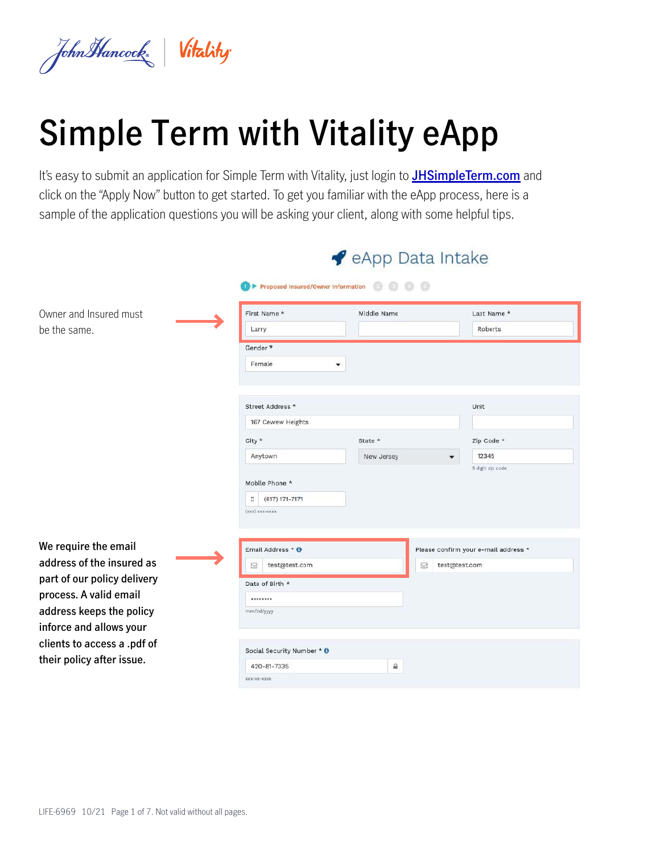

# **Simple Term with Vitality eApp**

It's easy to submit an application for Simple Term with Vitality, just login to **[JHSimpleTerm.com](http://JHSimpleTerm.com)** and click on the "Apply Now" button to get started. To get you familiar with the eApp process, here is a sample of the application questions you will be asking your client, along with some helpful tips.

|                             |                                        | eApp Data Intake |                                      |
|-----------------------------|----------------------------------------|------------------|--------------------------------------|
|                             | 1 ▶ Proposed Insured/Owner Information | $\odot$ $\odot$  |                                      |
| Owner and Insured must      | First Name *                           | Middle Name      | Last Name *                          |
| be the same.                | Larry                                  |                  | Roberts                              |
|                             | Gender <sup>*</sup>                    |                  |                                      |
|                             | Female                                 | ۰                |                                      |
|                             |                                        |                  |                                      |
|                             | Street Address *                       |                  | Unit                                 |
|                             | 167 Cewew Heights                      |                  |                                      |
|                             | City *                                 | State *          | Zip Code *                           |
|                             | Anytown                                | New Jersey       | 12345<br>٠                           |
|                             | Mobile Phone *                         |                  | 5 digit zip code                     |
|                             | ü.<br>$(617) 171 - 7171$               |                  |                                      |
|                             | $\{xxx\}$ xxx-xxxx                     |                  |                                      |
| We require the email        | Email Address * 0                      |                  | Please confirm your e-mail address * |
| address of the insured as   | test@test.com<br>ы                     | ⊠                | test@test.com                        |
| part of our policy delivery | Date of Birth *                        |                  |                                      |
| process. A valid email      |                                        |                  |                                      |
| address keeps the policy    | mm/dd/yyyy                             |                  |                                      |
| inforce and allows your     |                                        |                  |                                      |
| clients to access a .pdf of |                                        |                  |                                      |
| their policy after issue.   | Social Security Number * 0             |                  |                                      |
|                             | 420-81-7335<br>KKK-KK-KKKK             | €                |                                      |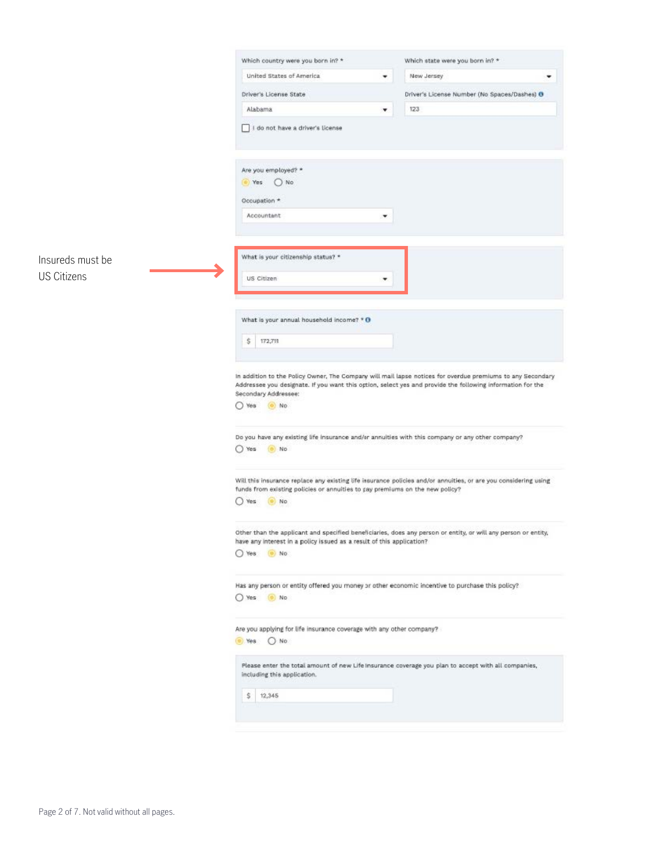|                    | Which country were you born in? *                                                                                                                                                                                                                                                                                                                                                                  | Which state were you born in? *              |
|--------------------|----------------------------------------------------------------------------------------------------------------------------------------------------------------------------------------------------------------------------------------------------------------------------------------------------------------------------------------------------------------------------------------------------|----------------------------------------------|
|                    | United States of America<br>۰                                                                                                                                                                                                                                                                                                                                                                      | New Jersey<br>٠                              |
|                    | Driver's License State                                                                                                                                                                                                                                                                                                                                                                             | Driver's License Number (No Spaces/Dashes) O |
|                    | Alabama<br>۰                                                                                                                                                                                                                                                                                                                                                                                       | 123                                          |
|                    | I do not have a driver's license                                                                                                                                                                                                                                                                                                                                                                   |                                              |
|                    | Are you employed? *<br>O No<br>(@) Yes<br>Occupation *<br>Accountant<br>۰                                                                                                                                                                                                                                                                                                                          |                                              |
| Insureds must be   | What is your citizenship status? *                                                                                                                                                                                                                                                                                                                                                                 |                                              |
| <b>US Citizens</b> | US Citizen                                                                                                                                                                                                                                                                                                                                                                                         |                                              |
|                    |                                                                                                                                                                                                                                                                                                                                                                                                    |                                              |
|                    | What is your annual household income? $*$ O                                                                                                                                                                                                                                                                                                                                                        |                                              |
|                    | \$<br>172,711                                                                                                                                                                                                                                                                                                                                                                                      |                                              |
|                    |                                                                                                                                                                                                                                                                                                                                                                                                    |                                              |
|                    | In addition to the Policy Owner, The Company will mail lapse notices for overdue premiums to any Secondary<br>Addressee you designate. If you want this option, select yes and provide the following information for the<br>Secondary Addressee:<br>$O$ Yes<br>(e) No<br>Do you have any existing life insurance and/or annuities with this company or any other company?<br>O Yes<br>$\bullet$ No |                                              |
|                    | Will this insurance replace any existing life insurance policies and/or annuities, or are you considering using<br>funds from existing policies or annuities to pay premiums on the new policy?<br>O Yes<br>$\bullet$ No                                                                                                                                                                           |                                              |
|                    | Other than the applicant and specified beneficiaries, does any person or entity, or will any person or entity,<br>have any interest in a policy issued as a result of this application?<br>Yes (a) No                                                                                                                                                                                              |                                              |
|                    | Has any person or entity offered you money or other economic incentive to purchase this policy?<br>Yes ( No                                                                                                                                                                                                                                                                                        |                                              |
|                    | Are you applying for life insurance coverage with any other company?<br>● Yes ○ No                                                                                                                                                                                                                                                                                                                 |                                              |
|                    | Please enter the total amount of new Life insurance coverage you plan to accept with all companies,<br>including this application.                                                                                                                                                                                                                                                                 |                                              |
|                    | \$<br>12,345                                                                                                                                                                                                                                                                                                                                                                                       |                                              |
|                    |                                                                                                                                                                                                                                                                                                                                                                                                    |                                              |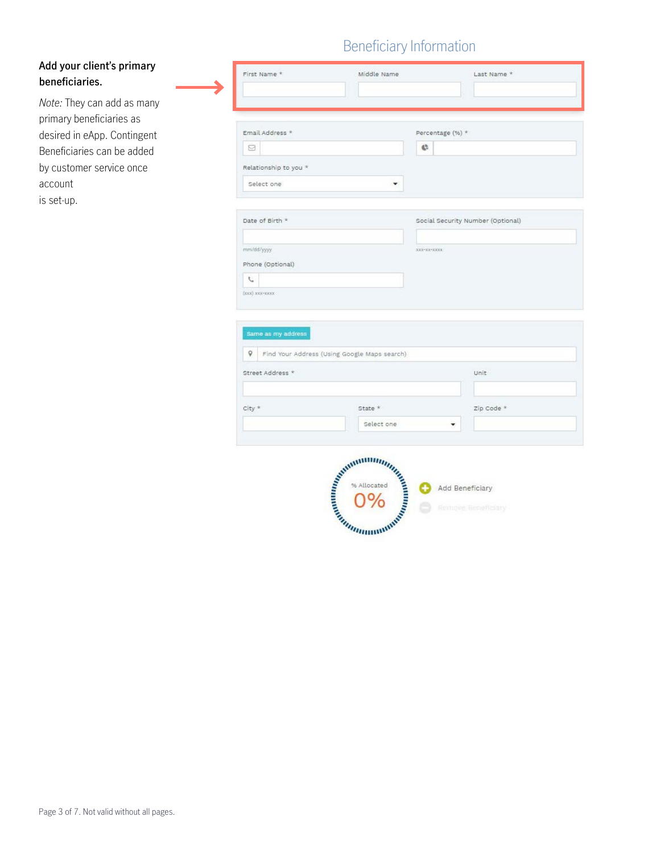## Beneficiary Information

| Add your client's primary |
|---------------------------|
| beneficiaries.            |

*Note:* They can add as many primary beneficiaries as desired in eApp. Contingent Beneficiaries can be added by customer service once account is set-up.

| Email Address *       |                                              | Percentage (%) * |                                   |
|-----------------------|----------------------------------------------|------------------|-----------------------------------|
| M.                    |                                              | ¢,               |                                   |
| Relationship to you * |                                              |                  |                                   |
| Select one            | ۰                                            |                  |                                   |
|                       |                                              |                  |                                   |
| Date of Birth *       |                                              |                  | Social Security Number (Optional) |
|                       |                                              |                  |                                   |
| mm/dd/yyyy            |                                              | XXX-XX-XXXXX     |                                   |
| Phone (Optional)      |                                              |                  |                                   |
| t.                    |                                              |                  |                                   |
| (XXX) XXX-XXXXX       |                                              |                  |                                   |
|                       |                                              |                  |                                   |
| Same as my address    |                                              |                  |                                   |
| Q.                    | Find Your Address (Using Google Maps search) |                  |                                   |
| Street Address *      |                                              |                  | Unit                              |
|                       |                                              |                  |                                   |
|                       |                                              |                  |                                   |
| City *                | State *                                      |                  | Zip Code *                        |

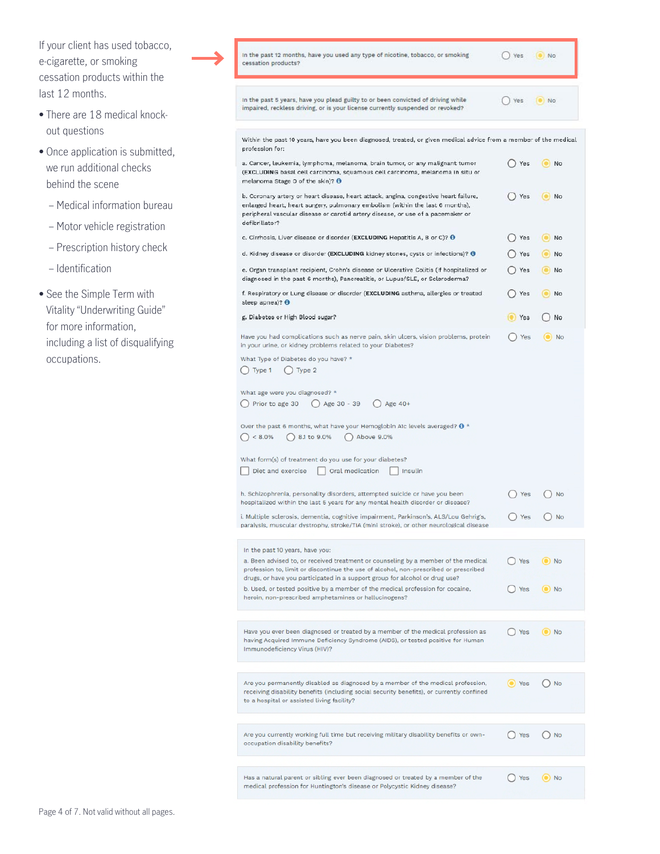| If your client has used tobacco,<br>e-cigarette, or smoking<br>cessation products within the | In the past 12 months, have you used any type of nicotine, tobacco, or smoking<br>cessation products?                                                                                                                                                                                        | $()$ Yes           | $\bullet$ No         |
|----------------------------------------------------------------------------------------------|----------------------------------------------------------------------------------------------------------------------------------------------------------------------------------------------------------------------------------------------------------------------------------------------|--------------------|----------------------|
| last 12 months.                                                                              | In the past 5 years, have you plead guilty to or been convicted of driving while                                                                                                                                                                                                             | Yes                | IO No                |
| • There are 18 medical knock-<br>out questions                                               | impaired, reckless driving, or is your license currently suspended or revoked?                                                                                                                                                                                                               |                    |                      |
| • Once application is submitted,                                                             | Within the past 10 years, have you been diagnosed, treated, or given medical advice from a member of the medical<br>profession for:                                                                                                                                                          |                    |                      |
| we run additional checks<br>behind the scene                                                 | a. Cancer, leukemia, lymphoma, melanoma, brain tumor, or any malignant tumor<br>(EXCLUDING basal cell carcinoma, squamous cell carcinoma, melanoma in situ or<br>melanoma Stage 0 of the skin)? O                                                                                            | ( ) Yes            | No                   |
| - Medical information bureau                                                                 | b. Coronary artery or heart disease, heart attack, angina, congestive heart failure,<br>enlarged heart, heart surgery, pulmonary embolism (within the last 6 months),<br>peripheral vascular disease or carotid artery disease, or use of a pacemaker or                                     | () Yes             | O No                 |
| - Motor vehicle registration                                                                 | defibrillator?                                                                                                                                                                                                                                                                               |                    |                      |
| - Prescription history check                                                                 | c. Cirrhosis, Liver disease or disorder (EXCLUDING Hepatitis A, B or C)? O                                                                                                                                                                                                                   | $()$ Yes           | $\bullet$ No         |
| - Identification                                                                             | d. Kidney disease or disorder (EXCLUDING kidney stones, cysts or infections)? @<br>e. Organ transplant recipient, Crohn's disease or Ulcerative Colitis (if hospitalized or<br>diagnosed in the past 6 months), Pancreatitis, or Lupus/SLE, or Scleroderma?                                  | $()$ Yes<br>() Yes | O No<br>$\bullet$ No |
| • See the Simple Term with                                                                   | f. Respiratory or Lung disease or disorder (EXCLUDING asthma, allergies or treated<br>sleep apnea)? O                                                                                                                                                                                        | () Yes             | O No                 |
| Vitality "Underwriting Guide"                                                                | g. Diabetes or High Blood sugar?                                                                                                                                                                                                                                                             | Yes                | ( ) No               |
| for more information,<br>including a list of disqualifying<br>occupations.                   | Have you had complications such as nerve pain, skin ulcers, vision problems, protein<br>in your urine, or kidney problems related to your Diabetes?                                                                                                                                          | $()$ Yes           | $\odot$ No           |
|                                                                                              | What Type of Diabetes do you have? *<br>$()$ Type 1<br>$()$ Type 2                                                                                                                                                                                                                           |                    |                      |
|                                                                                              | What age were you diagnosed? *<br>Prior to age 30<br>◯ Age 30 - 39<br>$()$ Age 40+                                                                                                                                                                                                           |                    |                      |
|                                                                                              | Over the past 6 months, what have your Hemoglobin A1c levels averaged? $\theta$ *<br>$() < 8.0\%$<br>$\bigcirc$ 8.1 to 9.0%<br>Above 9.0%                                                                                                                                                    |                    |                      |
|                                                                                              | What form(s) of treatment do you use for your diabetes?<br>Diet and exercise<br>Oral medication<br>Insulin                                                                                                                                                                                   |                    |                      |
|                                                                                              | h. Schizophrenia, personality disorders, attempted suicide or have you been<br>hospitalized within the last 5 years for any mental health disorder or disease?                                                                                                                               |                    |                      |
|                                                                                              | i. Multiple sclerosis, dementia, cognitive impairment, Parkinson's, ALS/Lou Gehrig's,<br>paralysis, muscular dystrophy, stroke/TIA (mini stroke), or other neurological disease                                                                                                              | ◯ Yes              | $\bigcirc$ No        |
|                                                                                              | In the past 10 years, have you:<br>a. Been advised to, or received treatment or counseling by a member of the medical<br>profession to, limit or discontinue the use of alcohol, non-prescribed or prescribed<br>drugs, or have you participated in a support group for alcohol or drug use? | ( ) Yes            | $\odot$ No           |
|                                                                                              | b. Used, or tested positive by a member of the medical profession for cocaine,<br>heroin, non-prescribed amphetamines or hallucinogens?                                                                                                                                                      | () Yes             | $\odot$ No           |
|                                                                                              | Have you ever been diagnosed or treated by a member of the medical profession as<br>having Acquired Immune Deficiency Syndrome (AIDS), or tested positive for Human<br>Immunodeficiency Virus (HIV)?                                                                                         | $()$ Yes           | $\odot$ No           |
|                                                                                              | Are you permanently disabled as diagnosed by a member of the medical profession,<br>receiving disability benefits (including social security benefits), or currently confined<br>to a hospital or assisted living facility?                                                                  | (O) Yes            | $()$ No              |
|                                                                                              | Are you currently working full time but receiving military disability benefits or own-<br>occupation disability benefits?                                                                                                                                                                    | () Yes             | $()$ No              |
|                                                                                              |                                                                                                                                                                                                                                                                                              |                    |                      |
|                                                                                              | Has a natural parent or sibling ever been diagnosed or treated by a member of the<br>medical profession for Huntington's disease or Polycystic Kidney disease?                                                                                                                               | ( ) Yes            | $\odot$ No           |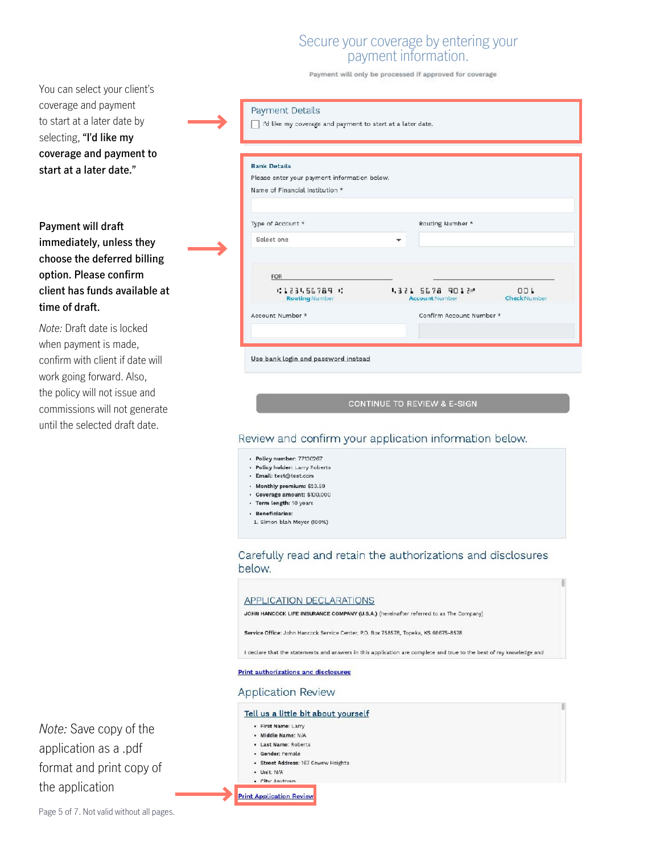## Secure your coverage by entering your payment information.

Payment will only be processed if approved for coverage

You can select your client's coverage and payment to start at a later date by selecting, **"I'd like my coverage and payment to start at a later date."**

### **Payment will draft immediately, unless they choose the deferred billing option. Please confirm client has funds available at time of draft.**

*Note:* Draft date is locked when payment is made, confirm with client if date will work going forward. Also, the policy will not issue and commissions will not generate until the selected draft date.

*Note:* Save copy of the application as a .pdf format and print copy of the application

| <b>Bank Details</b>                          |                                           |                            |
|----------------------------------------------|-------------------------------------------|----------------------------|
| Please enter your payment information below. |                                           |                            |
| Name of Financial Institution *              |                                           |                            |
|                                              |                                           |                            |
| Type of Account *                            | Routing Number *                          |                            |
| Select one                                   |                                           |                            |
|                                              |                                           |                            |
| FOR                                          |                                           |                            |
| 0123456789 0<br><b>Routing Number</b>        | 4321 5678 9012 -<br><b>Account Number</b> | 001<br><b>Check Number</b> |
| Account Number *                             | Confirm Account Number *                  |                            |

CONTINUE TO REVIEW & E-SIGN

#### Review and confirm your application information below.

· Policy number: 77130267

Payment Details

- · Policy holder: Larry Roberts
- · Email: test@test.com
- · Monthly premium: \$23.59
- · Coverage amount: \$100,000
- · Term length: 10 years
- · Beneficiaries:
- 1. Simon blah Meyer (100%)

#### Carefully read and retain the authorizations and disclosures below.

#### **APPLICATION DECLARATIONS**

JOHN HANCOCK LIFE INSURANCE COMPANY (U.S.A.) (hereinafter referred to as The Company)

Service Office: John Hanccck Service Center, P.O. Box 758578, Topeka, KS 66675-8578

I declare that the statements and answers in this application are complete and true to the best of my knowledge and

#### **Print authorizations and disclosures**

#### **Application Review**

#### Tell us a little bit about yourself

- · First Name: Larry
- · Middle Name: N/A
- · Last Name: Roberts
- · Gender: Female
- · Street Address: 167 Cewew Heights
- · Unit: N/A - City Anytown

**Print Application Review**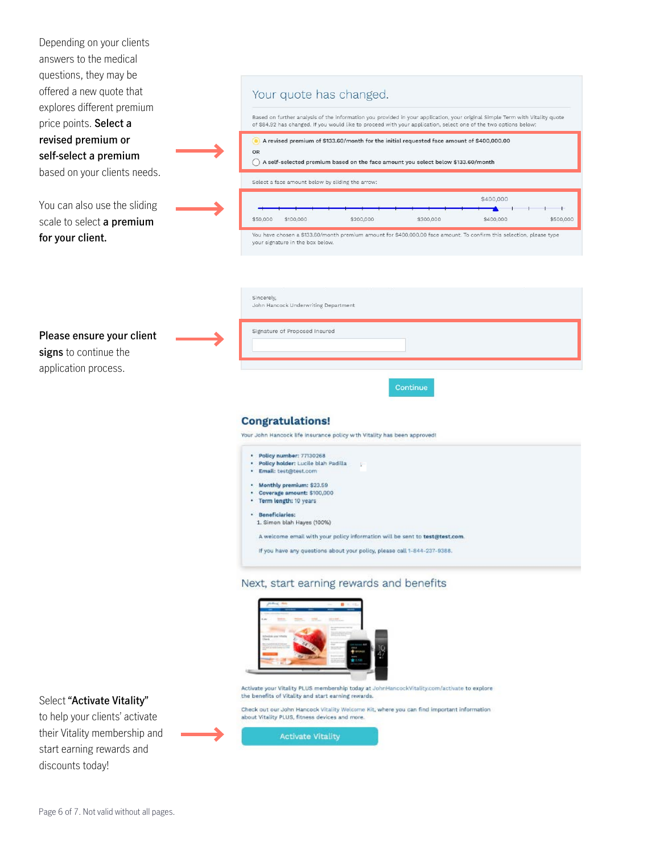| Depending on your clients<br>answers to the medical          |                                                                                                                                                                                                                                                  |
|--------------------------------------------------------------|--------------------------------------------------------------------------------------------------------------------------------------------------------------------------------------------------------------------------------------------------|
| questions, they may be<br>offered a new quote that           | Your quote has changed.                                                                                                                                                                                                                          |
| explores different premium<br>price points. Select a         | Based on further analysis of the information you provided in your application, your original Simple Term with Vitality quote<br>of \$84.92 has changed. If you would like to proceed with your application, select one of the two options below: |
| revised premium or                                           | A revised premium of \$133.60/month for the initial requested face amount of \$400,000.00<br>OR                                                                                                                                                  |
| self-select a premium<br>based on your clients needs.        | A self-selected premium based on the face amount you select below \$133.60/month                                                                                                                                                                 |
|                                                              | Select a face amount below by sliding the arrow:<br>\$400,000                                                                                                                                                                                    |
| You can also use the sliding<br>scale to select a premium    | \$100,000<br>\$200,000<br>\$50,000<br>\$300,000<br>\$400,000<br>\$500,000                                                                                                                                                                        |
| for your client.                                             | You have chosen a \$133.60/month premium amount for \$400,000.00 face amount. To confirm this selection, please type<br>your signature in the box below.                                                                                         |
|                                                              |                                                                                                                                                                                                                                                  |
|                                                              | Sincerely,                                                                                                                                                                                                                                       |
|                                                              | John Hancock Underwriting Department                                                                                                                                                                                                             |
| Please ensure your client                                    | Signature of Proposed Insured                                                                                                                                                                                                                    |
| signs to continue the<br>application process.                |                                                                                                                                                                                                                                                  |
|                                                              | Continue<br><b>Congratulations!</b><br>Your John Hancock life insurance policy with Vitality has been approved!                                                                                                                                  |
|                                                              | · Policy number: 77130268<br>· Policy holder: Lucile blah Padilla<br>Email: test@test.com<br>$\bullet$ .                                                                                                                                         |
|                                                              | . Monthly premium: \$23.59<br>Coverage amount: \$100,000<br>· Term length: 10 years                                                                                                                                                              |
|                                                              | · Beneficiaries:<br>1. Simon blah Hayes (100%)                                                                                                                                                                                                   |
|                                                              | A welcome email with your policy information will be sent to test@test.com.<br>If you have any questions about your policy, please call 1-844-237-9388.                                                                                          |
|                                                              |                                                                                                                                                                                                                                                  |
|                                                              | Next, start earning rewards and benefits                                                                                                                                                                                                         |
|                                                              |                                                                                                                                                                                                                                                  |
|                                                              | Activate your Vitality PLUS membership today at JohnHancockVitality.com/activate to explore<br>the benefits of Vitality and start earning rewards.                                                                                               |
| Select "Activate Vitality"<br>to help your clients' activate | Check out our John Hancock Vitality Welcome Kit, where you can find important information<br>about Vitality PLUS, fitness devices and more.                                                                                                      |
| their Vitality membership and<br>start earning rewards and   | <b>Activate Vitality</b>                                                                                                                                                                                                                         |
| discounts today!                                             |                                                                                                                                                                                                                                                  |